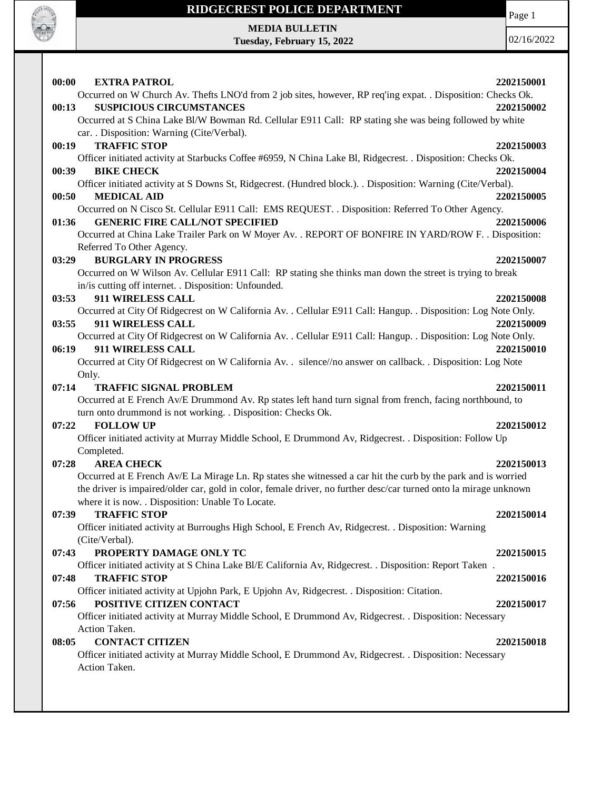

# **RIDGECREST POLICE DEPARTMENT MEDIA BULLETIN**

**Tuesday, February 15, 2022**

Page 1

| 00:00 | <b>EXTRA PATROL</b>                                                                                               | 2202150001 |
|-------|-------------------------------------------------------------------------------------------------------------------|------------|
|       | Occurred on W Church Av. Thefts LNO'd from 2 job sites, however, RP req'ing expat. . Disposition: Checks Ok.      |            |
| 00:13 | <b>SUSPICIOUS CIRCUMSTANCES</b>                                                                                   | 2202150002 |
|       | Occurred at S China Lake Bl/W Bowman Rd. Cellular E911 Call: RP stating she was being followed by white           |            |
|       | car. . Disposition: Warning (Cite/Verbal).                                                                        |            |
| 00:19 | <b>TRAFFIC STOP</b>                                                                                               | 2202150003 |
|       | Officer initiated activity at Starbucks Coffee #6959, N China Lake Bl, Ridgecrest. . Disposition: Checks Ok.      |            |
| 00:39 | <b>BIKE CHECK</b>                                                                                                 | 2202150004 |
|       | Officer initiated activity at S Downs St, Ridgecrest. (Hundred block.). Disposition: Warning (Cite/Verbal).       |            |
| 00:50 | <b>MEDICAL AID</b>                                                                                                | 2202150005 |
|       | Occurred on N Cisco St. Cellular E911 Call: EMS REQUEST. . Disposition: Referred To Other Agency.                 |            |
| 01:36 | <b>GENERIC FIRE CALL/NOT SPECIFIED</b>                                                                            | 2202150006 |
|       | Occurred at China Lake Trailer Park on W Moyer Av. . REPORT OF BONFIRE IN YARD/ROW F. . Disposition:              |            |
|       | Referred To Other Agency.                                                                                         |            |
| 03:29 | <b>BURGLARY IN PROGRESS</b>                                                                                       | 2202150007 |
|       | Occurred on W Wilson Av. Cellular E911 Call: RP stating she thinks man down the street is trying to break         |            |
|       | in/is cutting off internet. . Disposition: Unfounded.                                                             |            |
| 03:53 | 911 WIRELESS CALL                                                                                                 | 2202150008 |
|       | Occurred at City Of Ridgecrest on W California Av. . Cellular E911 Call: Hangup. . Disposition: Log Note Only.    |            |
| 03:55 | 911 WIRELESS CALL                                                                                                 | 2202150009 |
|       | Occurred at City Of Ridgecrest on W California Av. . Cellular E911 Call: Hangup. . Disposition: Log Note Only.    |            |
| 06:19 | 911 WIRELESS CALL                                                                                                 | 2202150010 |
|       | Occurred at City Of Ridgecrest on W California Av. . silence//no answer on callback. . Disposition: Log Note      |            |
|       | Only.                                                                                                             |            |
| 07:14 | <b>TRAFFIC SIGNAL PROBLEM</b>                                                                                     | 2202150011 |
|       | Occurred at E French Av/E Drummond Av. Rp states left hand turn signal from french, facing northbound, to         |            |
|       | turn onto drummond is not working. . Disposition: Checks Ok.                                                      |            |
| 07:22 | <b>FOLLOW UP</b>                                                                                                  | 2202150012 |
|       | Officer initiated activity at Murray Middle School, E Drummond Av, Ridgecrest. . Disposition: Follow Up           |            |
|       | Completed.                                                                                                        |            |
| 07:28 | <b>AREA CHECK</b>                                                                                                 | 2202150013 |
|       | Occurred at E French Av/E La Mirage Ln. Rp states she witnessed a car hit the curb by the park and is worried     |            |
|       | the driver is impaired/older car, gold in color, female driver, no further desc/car turned onto la mirage unknown |            |
|       | where it is now. . Disposition: Unable To Locate.                                                                 |            |
| 07:39 | <b>TRAFFIC STOP</b>                                                                                               | 2202150014 |
|       | Officer initiated activity at Burroughs High School, E French Av, Ridgecrest. . Disposition: Warning              |            |
|       | (Cite/Verbal).                                                                                                    |            |
| 07:43 | PROPERTY DAMAGE ONLY TC                                                                                           | 2202150015 |
|       | Officer initiated activity at S China Lake Bl/E California Av, Ridgecrest. . Disposition: Report Taken.           |            |
| 07:48 | <b>TRAFFIC STOP</b>                                                                                               | 2202150016 |
|       | Officer initiated activity at Upjohn Park, E Upjohn Av, Ridgecrest. . Disposition: Citation.                      |            |
| 07:56 | POSITIVE CITIZEN CONTACT                                                                                          | 2202150017 |
|       | Officer initiated activity at Murray Middle School, E Drummond Av, Ridgecrest. . Disposition: Necessary           |            |
|       | Action Taken.                                                                                                     |            |
|       |                                                                                                                   |            |
| 08:05 | <b>CONTACT CITIZEN</b>                                                                                            | 2202150018 |
|       | Officer initiated activity at Murray Middle School, E Drummond Av, Ridgecrest. . Disposition: Necessary           |            |
|       | Action Taken.                                                                                                     |            |
|       |                                                                                                                   |            |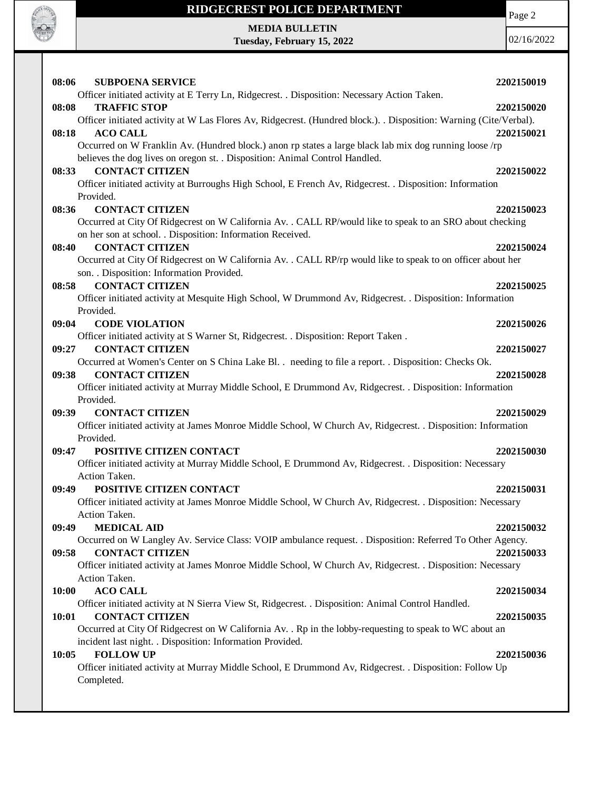

Page 2

**MEDIA BULLETIN Tuesday, February 15, 2022**

| <b>SUBPOENA SERVICE</b><br>08:06                                                                                     | 2202150019 |
|----------------------------------------------------------------------------------------------------------------------|------------|
| Officer initiated activity at E Terry Ln, Ridgecrest. . Disposition: Necessary Action Taken.                         |            |
| <b>TRAFFIC STOP</b><br>08:08                                                                                         | 2202150020 |
| Officer initiated activity at W Las Flores Av, Ridgecrest. (Hundred block.). Disposition: Warning (Cite/Verbal).     |            |
| 08:18<br><b>ACO CALL</b>                                                                                             | 2202150021 |
| Occurred on W Franklin Av. (Hundred block.) anon rp states a large black lab mix dog running loose /rp               |            |
| believes the dog lives on oregon st. . Disposition: Animal Control Handled.                                          |            |
| <b>CONTACT CITIZEN</b><br>08:33                                                                                      | 2202150022 |
| Officer initiated activity at Burroughs High School, E French Av, Ridgecrest. . Disposition: Information             |            |
| Provided.                                                                                                            |            |
| <b>CONTACT CITIZEN</b><br>08:36                                                                                      | 2202150023 |
| Occurred at City Of Ridgecrest on W California Av. . CALL RP/would like to speak to an SRO about checking            |            |
| on her son at school. . Disposition: Information Received.                                                           |            |
| <b>CONTACT CITIZEN</b><br>08:40                                                                                      | 2202150024 |
| Occurred at City Of Ridgecrest on W California Av. . CALL RP/rp would like to speak to on officer about her          |            |
| son. . Disposition: Information Provided.                                                                            |            |
| <b>CONTACT CITIZEN</b><br>08:58                                                                                      | 2202150025 |
| Officer initiated activity at Mesquite High School, W Drummond Av, Ridgecrest. . Disposition: Information            |            |
| Provided.                                                                                                            |            |
| 09:04<br><b>CODE VIOLATION</b>                                                                                       | 2202150026 |
| Officer initiated activity at S Warner St, Ridgecrest. . Disposition: Report Taken.                                  |            |
| 09:27<br><b>CONTACT CITIZEN</b>                                                                                      | 2202150027 |
| Occurred at Women's Center on S China Lake Bl. . needing to file a report. . Disposition: Checks Ok.                 |            |
| 09:38<br><b>CONTACT CITIZEN</b>                                                                                      | 2202150028 |
| Officer initiated activity at Murray Middle School, E Drummond Av, Ridgecrest. . Disposition: Information            |            |
| Provided.                                                                                                            |            |
| <b>CONTACT CITIZEN</b><br>09:39                                                                                      | 2202150029 |
| Officer initiated activity at James Monroe Middle School, W Church Av, Ridgecrest. . Disposition: Information        |            |
| Provided.                                                                                                            |            |
| POSITIVE CITIZEN CONTACT<br>09:47                                                                                    | 2202150030 |
| Officer initiated activity at Murray Middle School, E Drummond Av, Ridgecrest. . Disposition: Necessary              |            |
| Action Taken.<br>POSITIVE CITIZEN CONTACT                                                                            | 2202150031 |
| 09:49<br>Officer initiated activity at James Monroe Middle School, W Church Av, Ridgecrest. . Disposition: Necessary |            |
| Action Taken.                                                                                                        |            |
| 09:49<br><b>MEDICAL AID</b>                                                                                          | 2202150032 |
| Occurred on W Langley Av. Service Class: VOIP ambulance request. . Disposition: Referred To Other Agency.            |            |
| 09:58<br><b>CONTACT CITIZEN</b>                                                                                      | 2202150033 |
| Officer initiated activity at James Monroe Middle School, W Church Av, Ridgecrest. . Disposition: Necessary          |            |
| Action Taken.                                                                                                        |            |
| <b>ACO CALL</b><br>10:00                                                                                             | 2202150034 |
| Officer initiated activity at N Sierra View St, Ridgecrest. . Disposition: Animal Control Handled.                   |            |
| 10:01<br><b>CONTACT CITIZEN</b>                                                                                      | 2202150035 |
| Occurred at City Of Ridgecrest on W California Av. . Rp in the lobby-requesting to speak to WC about an              |            |
| incident last night. . Disposition: Information Provided.                                                            |            |
| <b>FOLLOW UP</b><br>10:05                                                                                            | 2202150036 |
| Officer initiated activity at Murray Middle School, E Drummond Av, Ridgecrest. . Disposition: Follow Up              |            |
| Completed.                                                                                                           |            |
|                                                                                                                      |            |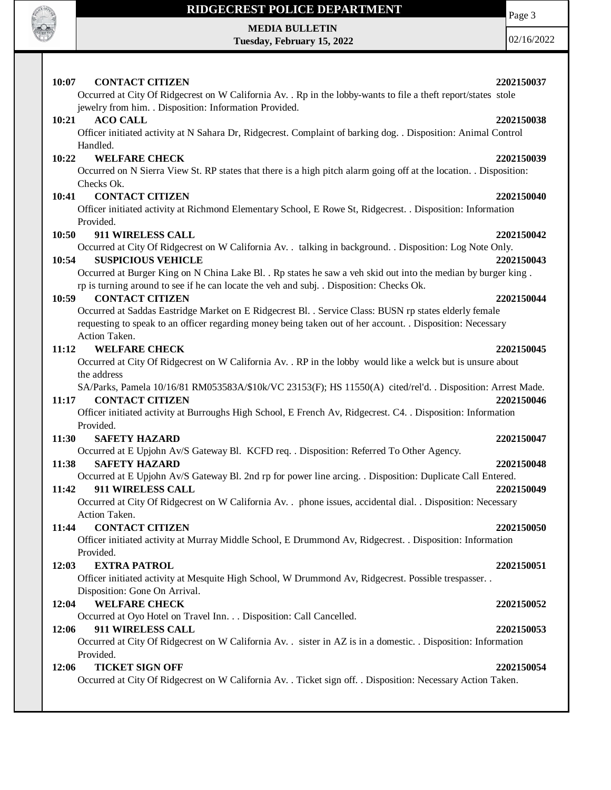

# **MEDIA BULLETIN**

**Tuesday, February 15, 2022**

Page 3

02/16/2022

### **10:07 CONTACT CITIZEN 2202150037** Occurred at City Of Ridgecrest on W California Av. . Rp in the lobby-wants to file a theft report/states stole jewelry from him. . Disposition: Information Provided. **10:21 ACO CALL 2202150038** Officer initiated activity at N Sahara Dr, Ridgecrest. Complaint of barking dog. . Disposition: Animal Control Handled. **10:22 WELFARE CHECK 2202150039** Occurred on N Sierra View St. RP states that there is a high pitch alarm going off at the location. . Disposition: Checks Ok. **10:41 CONTACT CITIZEN 2202150040** Officer initiated activity at Richmond Elementary School, E Rowe St, Ridgecrest. . Disposition: Information Provided. **10:50 911 WIRELESS CALL 2202150042** Occurred at City Of Ridgecrest on W California Av. . talking in background. . Disposition: Log Note Only. **10:54 SUSPICIOUS VEHICLE 2202150043** Occurred at Burger King on N China Lake Bl. . Rp states he saw a veh skid out into the median by burger king . rp is turning around to see if he can locate the veh and subj. . Disposition: Checks Ok. **10:59 CONTACT CITIZEN 2202150044** Occurred at Saddas Eastridge Market on E Ridgecrest Bl. . Service Class: BUSN rp states elderly female requesting to speak to an officer regarding money being taken out of her account. . Disposition: Necessary Action Taken. **11:12 WELFARE CHECK 2202150045** Occurred at City Of Ridgecrest on W California Av. . RP in the lobby would like a welck but is unsure about the address SA/Parks, Pamela 10/16/81 RM053583A/\$10k/VC 23153(F); HS 11550(A) cited/rel'd. . Disposition: Arrest Made. **11:17 CONTACT CITIZEN 2202150046** Officer initiated activity at Burroughs High School, E French Av, Ridgecrest. C4. . Disposition: Information Provided. **11:30 SAFETY HAZARD 2202150047** Occurred at E Upjohn Av/S Gateway Bl. KCFD req. . Disposition: Referred To Other Agency. **11:38 SAFETY HAZARD 2202150048** Occurred at E Upjohn Av/S Gateway Bl. 2nd rp for power line arcing. . Disposition: Duplicate Call Entered. **11:42 911 WIRELESS CALL 2202150049** Occurred at City Of Ridgecrest on W California Av. . phone issues, accidental dial. . Disposition: Necessary Action Taken. **11:44 CONTACT CITIZEN 2202150050** Officer initiated activity at Murray Middle School, E Drummond Av, Ridgecrest. . Disposition: Information Provided. **12:03 EXTRA PATROL 2202150051** Officer initiated activity at Mesquite High School, W Drummond Av, Ridgecrest. Possible trespasser. . Disposition: Gone On Arrival. **12:04 WELFARE CHECK 2202150052** Occurred at Oyo Hotel on Travel Inn. . . Disposition: Call Cancelled. **12:06 911 WIRELESS CALL 2202150053** Occurred at City Of Ridgecrest on W California Av. . sister in AZ is in a domestic. . Disposition: Information Provided. **12:06 TICKET SIGN OFF 2202150054** Occurred at City Of Ridgecrest on W California Av. . Ticket sign off. . Disposition: Necessary Action Taken.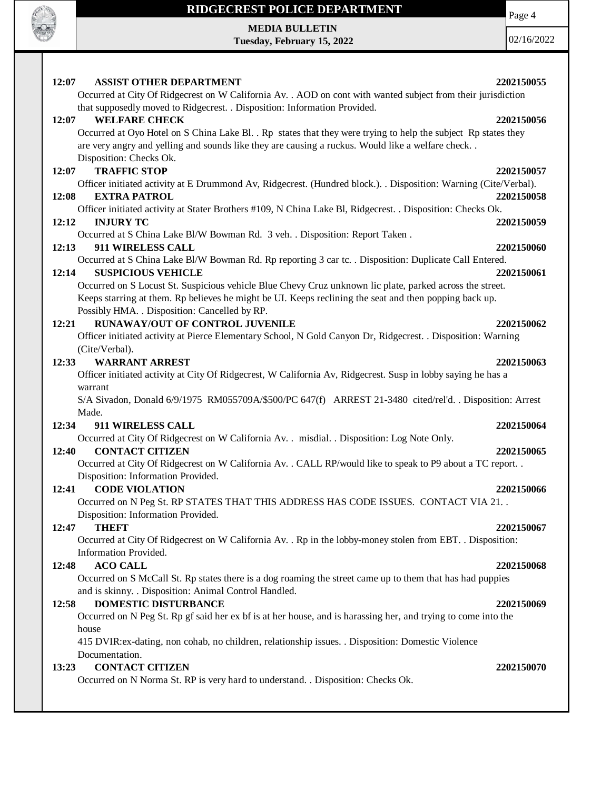

**MEDIA BULLETIN Tuesday, February 15, 2022** Page 4

| 12:07                     | <b>ASSIST OTHER DEPARTMENT</b>                                                                                   | 2202150055 |
|---------------------------|------------------------------------------------------------------------------------------------------------------|------------|
|                           | Occurred at City Of Ridgecrest on W California Av. . AOD on cont with wanted subject from their jurisdiction     |            |
|                           | that supposedly moved to Ridgecrest. . Disposition: Information Provided.                                        |            |
| 12:07                     | <b>WELFARE CHECK</b>                                                                                             | 2202150056 |
|                           | Occurred at Oyo Hotel on S China Lake Bl. . Rp states that they were trying to help the subject Rp states they   |            |
|                           | are very angry and yelling and sounds like they are causing a ruckus. Would like a welfare check                 |            |
|                           | Disposition: Checks Ok.                                                                                          |            |
| 12:07                     | <b>TRAFFIC STOP</b>                                                                                              | 2202150057 |
|                           | Officer initiated activity at E Drummond Av, Ridgecrest. (Hundred block.). . Disposition: Warning (Cite/Verbal). |            |
| 12:08                     | <b>EXTRA PATROL</b>                                                                                              | 2202150058 |
|                           | Officer initiated activity at Stater Brothers #109, N China Lake Bl, Ridgecrest. . Disposition: Checks Ok.       |            |
| <b>INJURY TC</b><br>12:12 |                                                                                                                  | 2202150059 |
|                           | Occurred at S China Lake Bl/W Bowman Rd. 3 veh. . Disposition: Report Taken.                                     |            |
| 12:13                     | 911 WIRELESS CALL                                                                                                | 2202150060 |
|                           | Occurred at S China Lake Bl/W Bowman Rd. Rp reporting 3 car tc. . Disposition: Duplicate Call Entered.           |            |
| 12:14                     | <b>SUSPICIOUS VEHICLE</b>                                                                                        | 2202150061 |
|                           | Occurred on S Locust St. Suspicious vehicle Blue Chevy Cruz unknown lic plate, parked across the street.         |            |
|                           | Keeps starring at them. Rp believes he might be UI. Keeps reclining the seat and then popping back up.           |            |
|                           | Possibly HMA. . Disposition: Cancelled by RP.                                                                    |            |
| 12:21                     | <b>RUNAWAY/OUT OF CONTROL JUVENILE</b>                                                                           | 2202150062 |
|                           | Officer initiated activity at Pierce Elementary School, N Gold Canyon Dr, Ridgecrest. . Disposition: Warning     |            |
| (Cite/Verbal).            |                                                                                                                  |            |
| 12:33                     | <b>WARRANT ARREST</b>                                                                                            | 2202150063 |
|                           | Officer initiated activity at City Of Ridgecrest, W California Av, Ridgecrest. Susp in lobby saying he has a     |            |
| warrant                   | S/A Sivadon, Donald 6/9/1975 RM055709A/\$500/PC 647(f) ARREST 21-3480 cited/rel'd. . Disposition: Arrest         |            |
| Made.                     |                                                                                                                  |            |
| 12:34                     | 911 WIRELESS CALL                                                                                                | 2202150064 |
|                           | Occurred at City Of Ridgecrest on W California Av. . misdial. . Disposition: Log Note Only.                      |            |
| 12:40                     | <b>CONTACT CITIZEN</b>                                                                                           | 2202150065 |
|                           | Occurred at City Of Ridgecrest on W California Av. . CALL RP/would like to speak to P9 about a TC report. .      |            |
|                           | Disposition: Information Provided.                                                                               |            |
| 12:41                     | <b>CODE VIOLATION</b>                                                                                            | 2202150066 |
|                           | Occurred on N Peg St. RP STATES THAT THIS ADDRESS HAS CODE ISSUES. CONTACT VIA 21. .                             |            |
|                           | Disposition: Information Provided.                                                                               |            |
| 12:47<br><b>THEFT</b>     |                                                                                                                  | 2202150067 |
|                           | Occurred at City Of Ridgecrest on W California Av. . Rp in the lobby-money stolen from EBT. . Disposition:       |            |
| Information Provided.     |                                                                                                                  |            |
| <b>ACO CALL</b><br>12:48  |                                                                                                                  | 2202150068 |
|                           | Occurred on S McCall St. Rp states there is a dog roaming the street came up to them that has had puppies        |            |
|                           | and is skinny. . Disposition: Animal Control Handled.                                                            |            |
| 12:58                     | <b>DOMESTIC DISTURBANCE</b>                                                                                      | 2202150069 |
|                           | Occurred on N Peg St. Rp gf said her ex bf is at her house, and is harassing her, and trying to come into the    |            |
| house                     |                                                                                                                  |            |
|                           | 415 DVIR: ex-dating, non cohab, no children, relationship issues. . Disposition: Domestic Violence               |            |
| Documentation.            |                                                                                                                  |            |
| 13:23                     | <b>CONTACT CITIZEN</b>                                                                                           | 2202150070 |
|                           | Occurred on N Norma St. RP is very hard to understand. . Disposition: Checks Ok.                                 |            |
|                           |                                                                                                                  |            |
|                           |                                                                                                                  |            |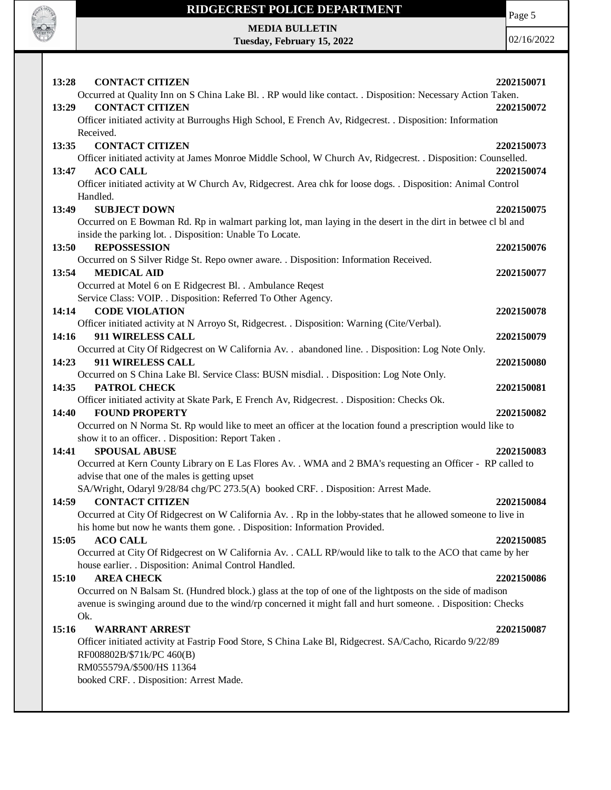

Page 5

**MEDIA BULLETIN Tuesday, February 15, 2022**

| 13:28<br><b>CONTACT CITIZEN</b>                                                                                  | 2202150071 |
|------------------------------------------------------------------------------------------------------------------|------------|
| Occurred at Quality Inn on S China Lake Bl. . RP would like contact. . Disposition: Necessary Action Taken.      |            |
| <b>CONTACT CITIZEN</b><br>13:29                                                                                  | 2202150072 |
| Officer initiated activity at Burroughs High School, E French Av, Ridgecrest. . Disposition: Information         |            |
| Received.                                                                                                        |            |
| <b>CONTACT CITIZEN</b><br>13:35                                                                                  | 2202150073 |
| Officer initiated activity at James Monroe Middle School, W Church Av, Ridgecrest. . Disposition: Counselled.    |            |
| <b>ACO CALL</b><br>13:47                                                                                         | 2202150074 |
| Officer initiated activity at W Church Av, Ridgecrest. Area chk for loose dogs. . Disposition: Animal Control    |            |
| Handled.                                                                                                         |            |
| <b>SUBJECT DOWN</b><br>13:49                                                                                     | 2202150075 |
| Occurred on E Bowman Rd. Rp in walmart parking lot, man laying in the desert in the dirt in betwee cl bl and     |            |
| inside the parking lot. . Disposition: Unable To Locate.                                                         |            |
| <b>REPOSSESSION</b><br>13:50                                                                                     | 2202150076 |
| Occurred on S Silver Ridge St. Repo owner aware. . Disposition: Information Received.                            |            |
| <b>MEDICAL AID</b><br>13:54                                                                                      | 2202150077 |
| Occurred at Motel 6 on E Ridgecrest Bl. . Ambulance Reqest                                                       |            |
| Service Class: VOIP. . Disposition: Referred To Other Agency.                                                    |            |
| 14:14<br><b>CODE VIOLATION</b>                                                                                   | 2202150078 |
| Officer initiated activity at N Arroyo St, Ridgecrest. . Disposition: Warning (Cite/Verbal).                     |            |
| 911 WIRELESS CALL<br>14:16                                                                                       | 2202150079 |
| Occurred at City Of Ridgecrest on W California Av. . abandoned line. . Disposition: Log Note Only.               |            |
| 14:23<br>911 WIRELESS CALL                                                                                       | 2202150080 |
|                                                                                                                  |            |
| Occurred on S China Lake Bl. Service Class: BUSN misdial. . Disposition: Log Note Only.<br>14:35<br>PATROL CHECK |            |
|                                                                                                                  | 2202150081 |
| Officer initiated activity at Skate Park, E French Av, Ridgecrest. . Disposition: Checks Ok.                     |            |
| 14:40<br><b>FOUND PROPERTY</b>                                                                                   | 2202150082 |
| Occurred on N Norma St. Rp would like to meet an officer at the location found a prescription would like to      |            |
| show it to an officer. . Disposition: Report Taken.                                                              |            |
| <b>SPOUSAL ABUSE</b><br>14:41                                                                                    | 2202150083 |
| Occurred at Kern County Library on E Las Flores Av. . WMA and 2 BMA's requesting an Officer - RP called to       |            |
| advise that one of the males is getting upset                                                                    |            |
| SA/Wright, Odaryl 9/28/84 chg/PC 273.5(A) booked CRF. . Disposition: Arrest Made.                                |            |
| <b>CONTACT CITIZEN</b><br>14:59                                                                                  | 2202150084 |
| Occurred at City Of Ridgecrest on W California Av. . Rp in the lobby-states that he allowed someone to live in   |            |
| his home but now he wants them gone. . Disposition: Information Provided.                                        |            |
| <b>ACO CALL</b><br>15:05                                                                                         | 2202150085 |
| Occurred at City Of Ridgecrest on W California Av. . CALL RP/would like to talk to the ACO that came by her      |            |
| house earlier. . Disposition: Animal Control Handled.                                                            |            |
| 15:10<br><b>AREA CHECK</b>                                                                                       | 2202150086 |
| Occurred on N Balsam St. (Hundred block.) glass at the top of one of the lightposts on the side of madison       |            |
| avenue is swinging around due to the wind/rp concerned it might fall and hurt someone. . Disposition: Checks     |            |
| Ok.                                                                                                              |            |
| <b>WARRANT ARREST</b><br>15:16                                                                                   | 2202150087 |
| Officer initiated activity at Fastrip Food Store, S China Lake Bl, Ridgecrest. SA/Cacho, Ricardo 9/22/89         |            |
| RF008802B/\$71k/PC 460(B)                                                                                        |            |
| RM055579A/\$500/HS 11364                                                                                         |            |
| booked CRF. . Disposition: Arrest Made.                                                                          |            |
|                                                                                                                  |            |
|                                                                                                                  |            |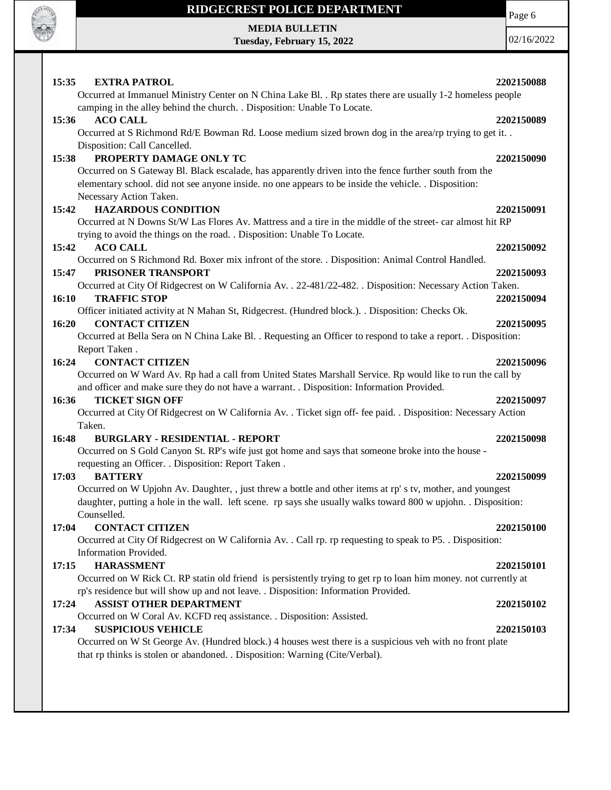

Page 6

**MEDIA BULLETIN Tuesday, February 15, 2022** 02/16/2022 **15:35 EXTRA PATROL 2202150088** Occurred at Immanuel Ministry Center on N China Lake Bl. . Rp states there are usually 1-2 homeless people camping in the alley behind the church. . Disposition: Unable To Locate. **15:36 ACO CALL 2202150089** Occurred at S Richmond Rd/E Bowman Rd. Loose medium sized brown dog in the area/rp trying to get it. . Disposition: Call Cancelled. **15:38 PROPERTY DAMAGE ONLY TC 2202150090** Occurred on S Gateway Bl. Black escalade, has apparently driven into the fence further south from the elementary school. did not see anyone inside. no one appears to be inside the vehicle. . Disposition: Necessary Action Taken. **15:42 HAZARDOUS CONDITION 2202150091** Occurred at N Downs St/W Las Flores Av. Mattress and a tire in the middle of the street- car almost hit RP trying to avoid the things on the road. . Disposition: Unable To Locate. **15:42 ACO CALL 2202150092** Occurred on S Richmond Rd. Boxer mix infront of the store. . Disposition: Animal Control Handled. **15:47 PRISONER TRANSPORT 2202150093** Occurred at City Of Ridgecrest on W California Av. . 22-481/22-482. . Disposition: Necessary Action Taken. **16:10 TRAFFIC STOP 2202150094 16:20 CONTACT CITIZEN 2202150095 16:24 CONTACT CITIZEN 2202150096 16:36 TICKET SIGN OFF 2202150097 16:48 BURGLARY - RESIDENTIAL - REPORT 2202150098 17:03 BATTERY 2202150099 17:04 CONTACT CITIZEN 2202150100 17:15 HARASSMENT 2202150101 17:24 ASSIST OTHER DEPARTMENT 2202150102 17:34 SUSPICIOUS VEHICLE 2202150103**

### Officer initiated activity at N Mahan St, Ridgecrest. (Hundred block.). . Disposition: Checks Ok.

Occurred at Bella Sera on N China Lake Bl. . Requesting an Officer to respond to take a report. . Disposition: Report Taken .

Occurred on W Ward Av. Rp had a call from United States Marshall Service. Rp would like to run the call by and officer and make sure they do not have a warrant. . Disposition: Information Provided.

Occurred at City Of Ridgecrest on W California Av. . Ticket sign off- fee paid. . Disposition: Necessary Action Taken.

Occurred on S Gold Canyon St. RP's wife just got home and says that someone broke into the house requesting an Officer. . Disposition: Report Taken .

Occurred on W Upjohn Av. Daughter, , just threw a bottle and other items at rp' s tv, mother, and youngest daughter, putting a hole in the wall. left scene. rp says she usually walks toward 800 w upjohn. . Disposition: Counselled.

Occurred at City Of Ridgecrest on W California Av. . Call rp. rp requesting to speak to P5. . Disposition: Information Provided.

Occurred on W Rick Ct. RP statin old friend is persistently trying to get rp to loan him money. not currently at rp's residence but will show up and not leave. . Disposition: Information Provided.

Occurred on W Coral Av. KCFD req assistance. . Disposition: Assisted.

Occurred on W St George Av. (Hundred block.) 4 houses west there is a suspicious veh with no front plate that rp thinks is stolen or abandoned. . Disposition: Warning (Cite/Verbal).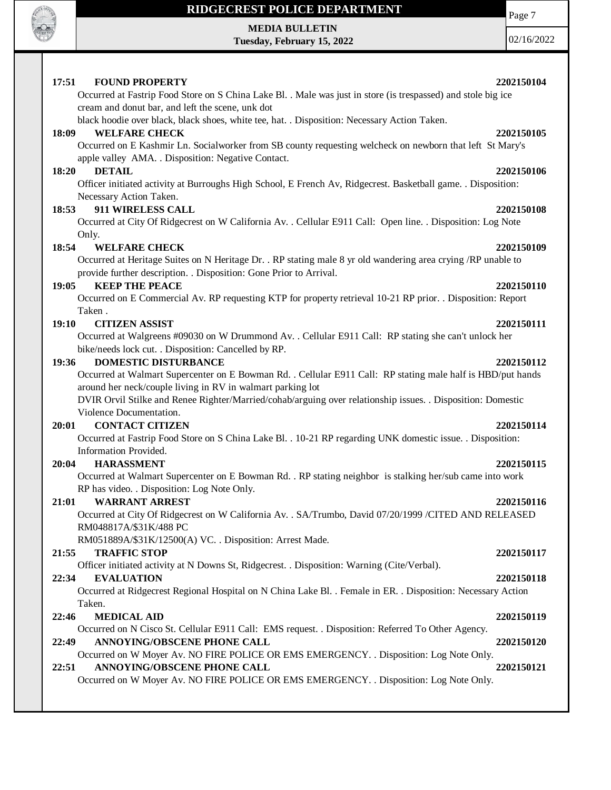

**MEDIA BULLETIN Tuesday, February 15, 2022** Page 7 02/16/2022

### **17:51 FOUND PROPERTY 2202150104** Occurred at Fastrip Food Store on S China Lake Bl. . Male was just in store (is trespassed) and stole big ice cream and donut bar, and left the scene, unk dot black hoodie over black, black shoes, white tee, hat. . Disposition: Necessary Action Taken. **18:09 WELFARE CHECK 2202150105** Occurred on E Kashmir Ln. Socialworker from SB county requesting welcheck on newborn that left St Mary's apple valley AMA. . Disposition: Negative Contact. **18:20 DETAIL 2202150106**

Officer initiated activity at Burroughs High School, E French Av, Ridgecrest. Basketball game. . Disposition: Necessary Action Taken.

### **18:53 911 WIRELESS CALL 2202150108**

Occurred at City Of Ridgecrest on W California Av. . Cellular E911 Call: Open line. . Disposition: Log Note Only.

### **18:54 WELFARE CHECK 2202150109**

Occurred at Heritage Suites on N Heritage Dr. . RP stating male 8 yr old wandering area crying /RP unable to provide further description. . Disposition: Gone Prior to Arrival.

### **19:05 KEEP THE PEACE 2202150110** 2202150110

Occurred on E Commercial Av. RP requesting KTP for property retrieval 10-21 RP prior. . Disposition: Report Taken .

### **19:10 CITIZEN ASSIST 2202150111**

Occurred at Walgreens #09030 on W Drummond Av. . Cellular E911 Call: RP stating she can't unlock her bike/needs lock cut. . Disposition: Cancelled by RP.

### **19:36 DOMESTIC DISTURBANCE 2202150112**

Occurred at Walmart Supercenter on E Bowman Rd. . Cellular E911 Call: RP stating male half is HBD/put hands around her neck/couple living in RV in walmart parking lot

DVIR Orvil Stilke and Renee Righter/Married/cohab/arguing over relationship issues. . Disposition: Domestic Violence Documentation.

### **20:01 CONTACT CITIZEN 2202150114**

Occurred at Fastrip Food Store on S China Lake Bl. . 10-21 RP regarding UNK domestic issue. . Disposition: Information Provided.

### **20:04 HARASSMENT 2202150115**

Occurred at Walmart Supercenter on E Bowman Rd. . RP stating neighbor is stalking her/sub came into work RP has video. . Disposition: Log Note Only.

### **21:01 WARRANT ARREST 2202150116**

Occurred at City Of Ridgecrest on W California Av. . SA/Trumbo, David 07/20/1999 /CITED AND RELEASED RM048817A/\$31K/488 PC

RM051889A/\$31K/12500(A) VC. . Disposition: Arrest Made.

### **21:55 TRAFFIC STOP 2202150117**

Officer initiated activity at N Downs St, Ridgecrest. . Disposition: Warning (Cite/Verbal).

### **22:34 EVALUATION 2202150118**

Occurred at Ridgecrest Regional Hospital on N China Lake Bl. . Female in ER. . Disposition: Necessary Action Taken.

## **22:46 MEDICAL AID 2202150119**

Occurred on N Cisco St. Cellular E911 Call: EMS request. . Disposition: Referred To Other Agency.

# **22:49 ANNOYING/OBSCENE PHONE CALL 2202150120**

Occurred on W Moyer Av. NO FIRE POLICE OR EMS EMERGENCY. . Disposition: Log Note Only. **22:51 ANNOYING/OBSCENE PHONE CALL 2202150121**

Occurred on W Moyer Av. NO FIRE POLICE OR EMS EMERGENCY. . Disposition: Log Note Only.